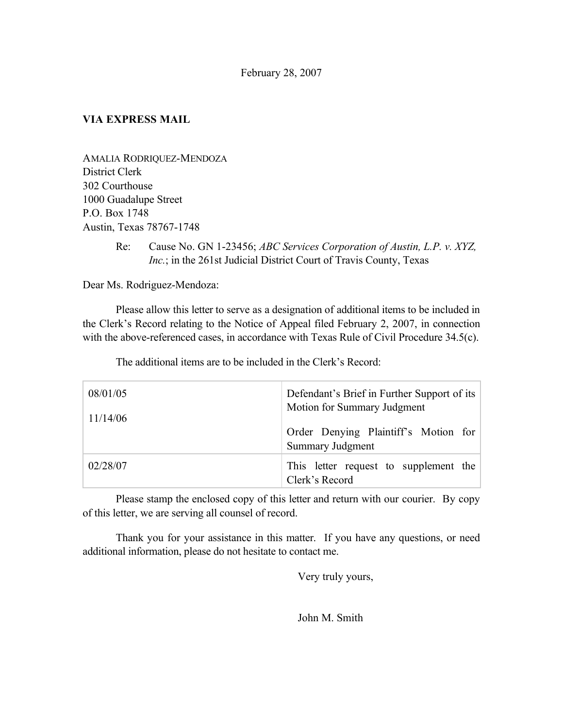## **VIA EXPRESS MAIL**

AMALIA RODRIQUEZ-MENDOZA District Clerk 302 Courthouse 1000 Guadalupe Street P.O. Box 1748 Austin, Texas 78767-1748

> Re: Cause No. GN 1-23456; *ABC Services Corporation of Austin, L.P. v. XYZ, Inc.*; in the 261st Judicial District Court of Travis County, Texas

Dear Ms. Rodriguez-Mendoza:

Please allow this letter to serve as a designation of additional items to be included in the Clerk's Record relating to the Notice of Appeal filed February 2, 2007, in connection with the above-referenced cases, in accordance with Texas Rule of Civil Procedure 34.5(c).

The additional items are to be included in the Clerk's Record:

| 08/01/05<br>11/14/06 | Defendant's Brief in Further Support of its<br>Motion for Summary Judgment |
|----------------------|----------------------------------------------------------------------------|
|                      | Order Denying Plaintiff's Motion for<br><b>Summary Judgment</b>            |
| 02/28/07             | This letter request to supplement the<br>Clerk's Record                    |

Please stamp the enclosed copy of this letter and return with our courier. By copy of this letter, we are serving all counsel of record.

Thank you for your assistance in this matter. If you have any questions, or need additional information, please do not hesitate to contact me.

Very truly yours,

John M. Smith